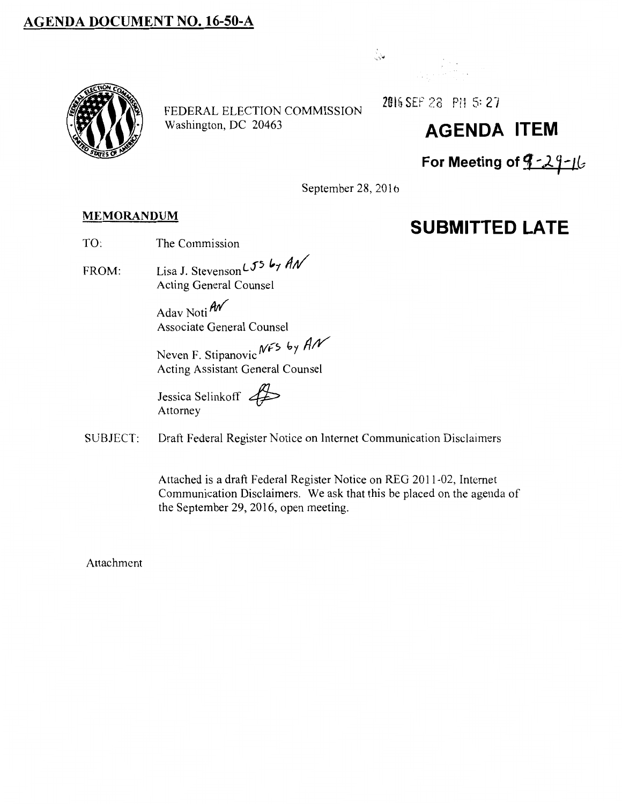# **AGENDA DOCUMENT NO. 16-50-A**

FEDERAL ELECTION COMMISSION Washington, DC 20463



2Gt& SEP 28 P1l 5: *2·1* 

# **AGENDA ITEM**

**SUBMITTED LATE** 

**For Meeting of 'J .. 61-** Jl~

September 28, 2016

#### **MEMORANDUM**

- TO: The Commission
- FROM: Lisa J. Stevenson L55 by AN Acting General Counsel

Adav Noti *fliY*  Associate General Counsel

Neven F. Stipanovic NFS by AN Acting Assistant General Counsel

Jessica Selinkoff  $\overline{\mathcal{L}}$ <br>Attorney

SUBJECT: Draft Federal Register Notice on Internet Communication Disclaimers

Attached is a draft Federal Register Notice on REG 2011-02, Internet Communication Disclaimers. We ask that this be placed on the agenda of the September 29,2016, open meeting.

Attachment

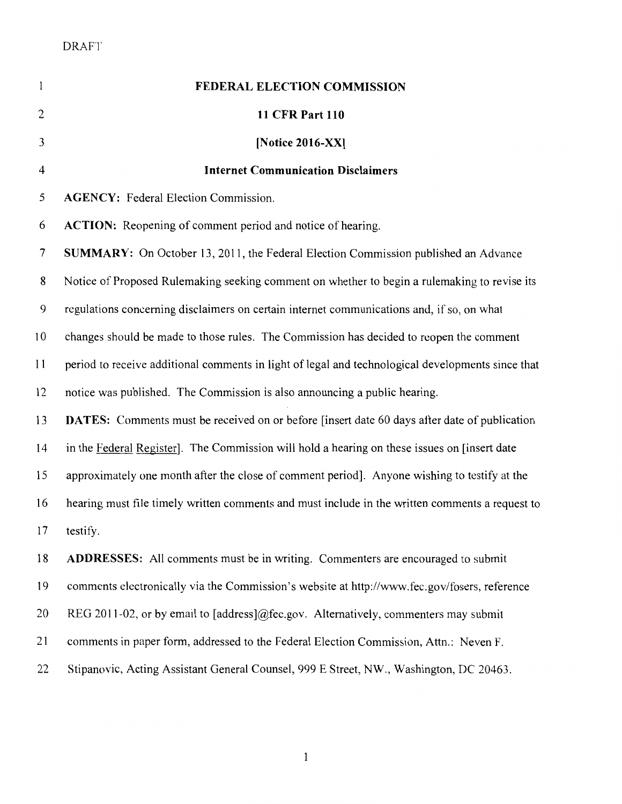| $\mathbf{1}$   | FEDERAL ELECTION COMMISSION                                                                         |
|----------------|-----------------------------------------------------------------------------------------------------|
| $\overline{c}$ | <b>11 CFR Part 110</b>                                                                              |
| 3              | [Notice 2016-XX]                                                                                    |
| $\overline{4}$ | <b>Internet Communication Disclaimers</b>                                                           |
| 5              | <b>AGENCY:</b> Federal Election Commission.                                                         |
| 6              | <b>ACTION:</b> Reopening of comment period and notice of hearing.                                   |
| 7              | <b>SUMMARY:</b> On October 13, 2011, the Federal Election Commission published an Advance           |
| 8              | Notice of Proposed Rulemaking seeking comment on whether to begin a rulemaking to revise its        |
| 9              | regulations concerning disclaimers on certain internet communications and, if so, on what           |
| 10             | changes should be made to those rules. The Commission has decided to reopen the comment             |
| 11             | period to receive additional comments in light of legal and technological developments since that   |
| 12             | notice was published. The Commission is also announcing a public hearing.                           |
| 13             | <b>DATES:</b> Comments must be received on or before [insert date 60 days after date of publication |
| 14             | in the Federal Register]. The Commission will hold a hearing on these issues on [insert date        |
| 15             | approximately one month after the close of comment period]. Anyone wishing to testify at the        |
| 16             | hearing must file timely written comments and must include in the written comments a request to     |
| 17             | testify.                                                                                            |
| 18             | <b>ADDRESSES:</b> All comments must be in writing. Commenters are encouraged to submit              |
| 19             | comments electronically via the Commission's website at http://www.fec.gov/fosers, reference        |
| 20             | REG 2011-02, or by email to [address]@fec.gov. Alternatively, commenters may submit                 |
| 21             | comments in paper form, addressed to the Federal Election Commission, Attn.: Neven F.               |
| 22             | Stipanovic, Acting Assistant General Counsel, 999 E Street, NW., Washington, DC 20463.              |

1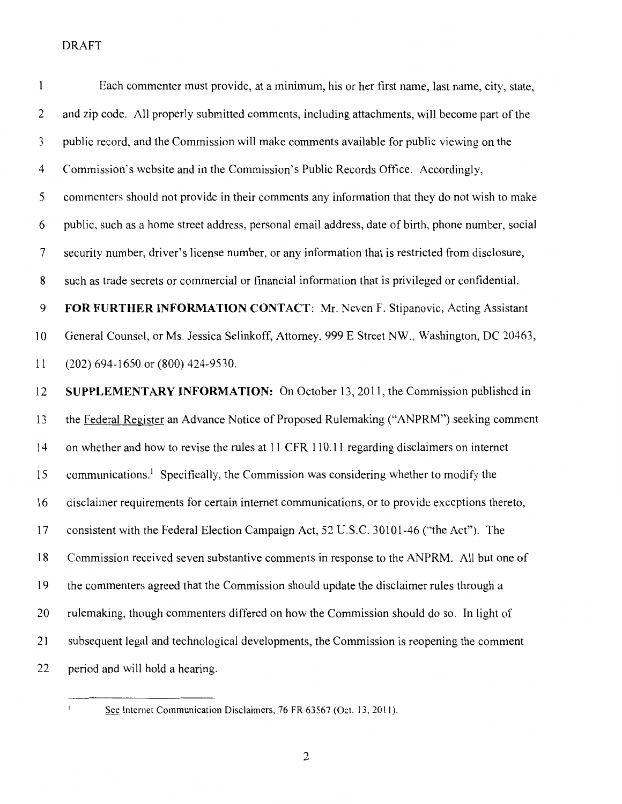| $\mathbf{1}$   | Each commenter must provide, at a minimum, his or her first name, last name, city, state,          |
|----------------|----------------------------------------------------------------------------------------------------|
| 2              | and zip code. All properly submitted comments, including attachments, will become part of the      |
| 3              | public record, and the Commission will make comments available for public viewing on the           |
| 4              | Commission's website and in the Commission's Public Records Office. Accordingly,                   |
| 5              | commenters should not provide in their comments any information that they do not wish to make      |
| 6              | public, such as a home street address, personal email address, date of birth, phone number, social |
| $\overline{7}$ | security number, driver's license number, or any information that is restricted from disclosure,   |
| 8              | such as trade secrets or commercial or financial information that is privileged or confidential.   |
| 9              | FOR FURTHER INFORMATION CONTACT: Mr. Neven F. Stipanovic, Acting Assistant                         |
| 10             | General Counsel, or Ms. Jessica Selinkoff, Attorney, 999 E Street NW., Washington, DC 20463,       |
| 11             | (202) 694-1650 or (800) 424-9530.                                                                  |
|                |                                                                                                    |
| 12             | <b>SUPPLEMENTARY INFORMATION:</b> On October 13, 2011, the Commission published in                 |
| 13             | the Federal Register an Advance Notice of Proposed Rulemaking ("ANPRM") seeking comment            |
| 14             | on whether and how to revise the rules at 11 CFR 110.11 regarding disclaimers on internet          |
| 15             | communications. <sup>1</sup> Specifically, the Commission was considering whether to modify the    |
| 16             | disclaimer requirements for certain internet communications, or to provide exceptions thereto,     |
| 17             | consistent with the Federal Election Campaign Act, 52 U.S.C. 30101-46 ("the Act"). The             |
| 18             | Commission received seven substantive comments in response to the ANPRM. All but one of            |
| 19             | the commenters agreed that the Commission should update the disclaimer rules through a             |
| 20             | rulemaking, though commenters differed on how the Commission should do so. In light of             |
| 21             | subsequent legal and technological developments, the Commission is reopening the comment           |

 $\bar{1}$ 

See Internet Communication Disclaimers, 76 FR 63567 (Oct. 13, 2011).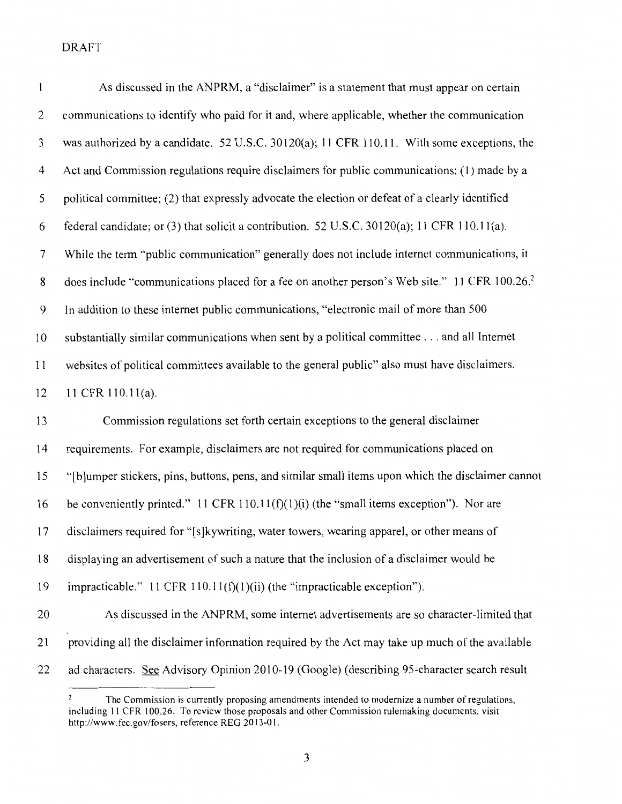| $\mathbf{l}$ | As discussed in the ANPRM, a "disclaimer" is a statement that must appear on certain                     |
|--------------|----------------------------------------------------------------------------------------------------------|
| 2            | communications to identify who paid for it and, where applicable, whether the communication              |
| 3            | was authorized by a candidate. 52 U.S.C. 30120(a); 11 CFR 110.11. With some exceptions, the              |
| 4            | Act and Commission regulations require disclaimers for public communications: (1) made by a              |
| 5            | political committee; (2) that expressly advocate the election or defeat of a clearly identified          |
| 6            | federal candidate; or (3) that solicit a contribution. 52 U.S.C. 30120(a); 11 CFR 110.11(a).             |
| 7            | While the term "public communication" generally does not include internet communications, it             |
| 8            | does include "communications placed for a fee on another person's Web site." 11 CFR 100.26. <sup>2</sup> |
| 9            | In addition to these internet public communications, "electronic mail of more than 500                   |
| 10           | substantially similar communications when sent by a political committee and all Internet                 |
| 11           | websites of political committees available to the general public" also must have disclaimers.            |
| 12           | 11 CFR 110.11(a).                                                                                        |
| 13           | Commission regulations set forth certain exceptions to the general disclaimer                            |
| 14           | requirements. For example, disclaimers are not required for communications placed on                     |
| 15           | "[b]umper stickers, pins, buttons, pens, and similar small items upon which the disclaimer cannot        |
| 16           | be conveniently printed." 11 CFR 110.11(f)(1)(i) (the "small items exception"). Nor are                  |
| 17           | disclaimers required for "[s]kywriting, water towers, wearing apparel, or other means of                 |
| 18           | displaying an advertisement of such a nature that the inclusion of a disclaimer would be                 |
| 19           | impracticable." 11 CFR $110.11(f)(1)(ii)$ (the "impracticable exception").                               |
| 20           | As discussed in the ANPRM, some internet advertisements are so character-limited that                    |
| 21           | providing all the disclaimer information required by the Act may take up much of the available           |
| 22           | ad characters. See Advisory Opinion 2010-19 (Google) (describing 95-character search result              |

The Commission is currently proposing amendments intended to modernize a number of regulations, including II CFR I 00.26. To review those proposals and other Commission rulemaking documents, visit http://www.fec.gov/fosers, reference REG 2013-01.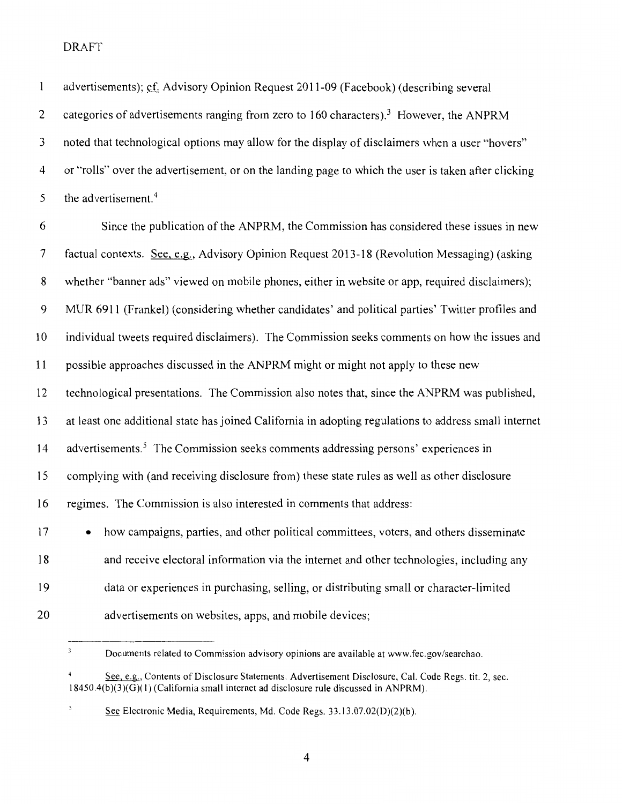| 1  | advertisements); cf. Advisory Opinion Request 2011-09 (Facebook) (describing several                  |
|----|-------------------------------------------------------------------------------------------------------|
| 2  | categories of advertisements ranging from zero to 160 characters). <sup>3</sup> However, the ANPRM    |
| 3  | noted that technological options may allow for the display of disclaimers when a user "hovers"        |
| 4  | or "rolls" over the advertisement, or on the landing page to which the user is taken after clicking   |
| 5  | the advertisement. <sup>4</sup>                                                                       |
| 6  | Since the publication of the ANPRM, the Commission has considered these issues in new                 |
| 7  | factual contexts. See, e.g., Advisory Opinion Request 2013-18 (Revolution Messaging) (asking          |
| 8  | whether "banner ads" viewed on mobile phones, either in website or app, required disclaimers);        |
| 9  | MUR 6911 (Frankel) (considering whether candidates' and political parties' Twitter profiles and       |
| 10 | individual tweets required disclaimers). The Commission seeks comments on how the issues and          |
| 11 | possible approaches discussed in the ANPRM might or might not apply to these new                      |
| 12 | technological presentations. The Commission also notes that, since the ANPRM was published,           |
| 13 | at least one additional state has joined California in adopting regulations to address small internet |
| 14 | advertisements. <sup>5</sup> The Commission seeks comments addressing persons' experiences in         |
| 15 | complying with (and receiving disclosure from) these state rules as well as other disclosure          |
| 16 | regimes. The Commission is also interested in comments that address:                                  |
| 17 | how campaigns, parties, and other political committees, voters, and others disseminate<br>$\bullet$   |
| 18 | and receive electoral information via the internet and other technologies, including any              |
| 19 | data or experiences in purchasing, selling, or distributing small or character-limited                |
| 20 | advertisements on websites, apps, and mobile devices;                                                 |
|    |                                                                                                       |

 $\overline{\mathbf{3}}$ Documents related to Commission advisory opinions are available at www.fec.gov/searchao.

4

 $\overline{4}$ See, e.g., Contents of Disclosure Statements. Advertisement Disclosure, Cal. Code Regs. tit. 2, sec. 18450.4(b )(3 )(G)( I) (California small internet ad disclosure rule discussed in ANPRM).

<sup>5</sup> See Electronic Media, Requirements, Md. Code Regs. 33.13.07.02(D)(2)(b).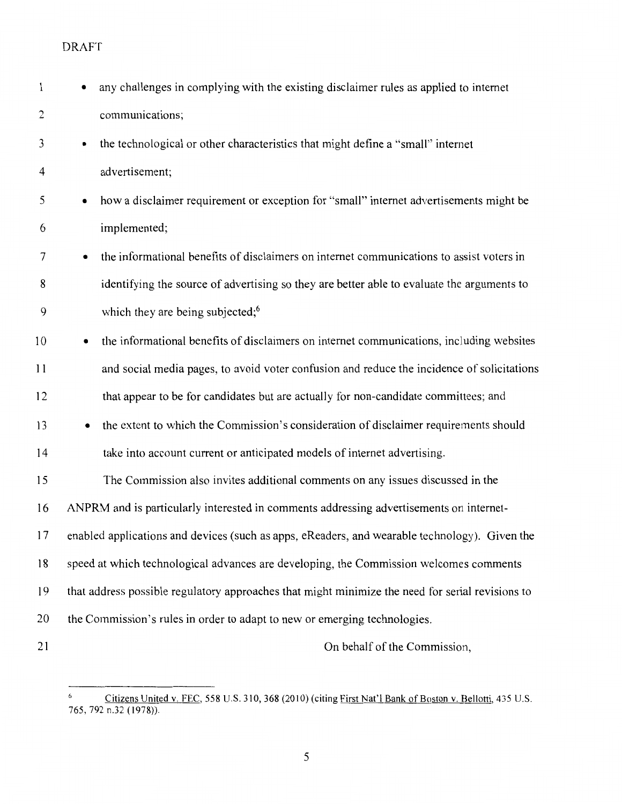| $\mathbf{1}$   | any challenges in complying with the existing disclaimer rules as applied to internet                 |
|----------------|-------------------------------------------------------------------------------------------------------|
| $\overline{2}$ | communications;                                                                                       |
| 3              | the technological or other characteristics that might define a "small" internet                       |
| 4              | advertisement;                                                                                        |
| 5              | how a disclaimer requirement or exception for "small" internet advertisements might be<br>$\bullet$   |
| 6              | implemented;                                                                                          |
| 7              | the informational benefits of disclaimers on internet communications to assist voters in<br>$\bullet$ |
| 8              | identifying the source of advertising so they are better able to evaluate the arguments to            |
| 9              | which they are being subjected; <sup>6</sup>                                                          |
| 10             | the informational benefits of disclaimers on internet communications, including websites<br>$\bullet$ |
| 11             | and social media pages, to avoid voter confusion and reduce the incidence of solicitations            |
| 12             | that appear to be for candidates but are actually for non-candidate committees; and                   |
| 13             | the extent to which the Commission's consideration of disclaimer requirements should                  |
| 14             | take into account current or anticipated models of internet advertising.                              |
| 15             | The Commission also invites additional comments on any issues discussed in the                        |
| 16             | ANPRM and is particularly interested in comments addressing advertisements on internet-               |
| 17             | enabled applications and devices (such as apps, eReaders, and wearable technology). Given the         |
| 18             | speed at which technological advances are developing, the Commission welcomes comments                |
| 19             | that address possible regulatory approaches that might minimize the need for serial revisions to      |
| 20             | the Commission's rules in order to adapt to new or emerging technologies.                             |
| 21             | On behalf of the Commission,                                                                          |

Citizens United v. FEC, 558 U.S. 310, 368 (2010) (citing First Nat'l Bank of Boston v. Bellotti, 435 U.S. 765, 792 n.32 ( 1978)).